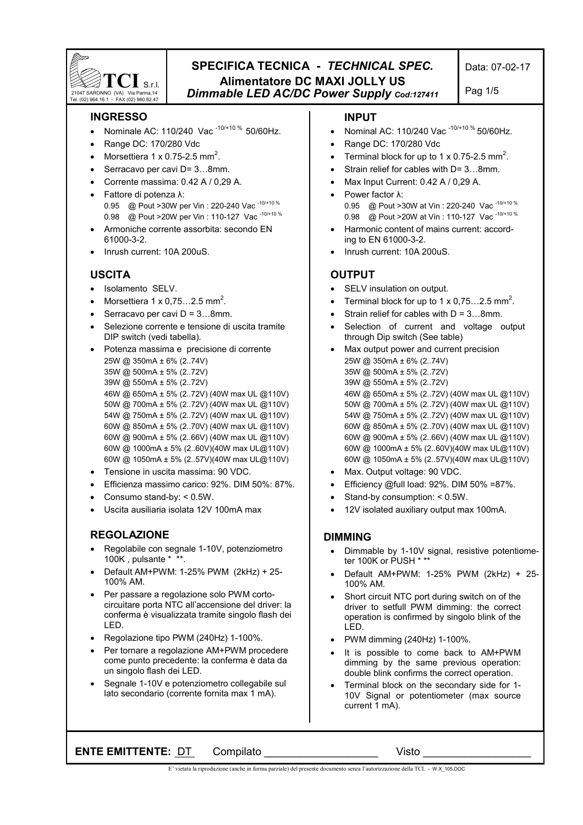

## **SPECIFICA TECNICA -** *TECHNICAL SPEC.* **Alimentatore DC MAXI JOLLY US**  *Dimmable LED AC/DC Power Supply Cod:127411*

# Pag 1/5

#### **INGRESSO**

- Nominale AC: 110/240 Vac<sup>-10/+10 %</sup> 50/60Hz.
- Range DC: 170/280 Vdc
- Morsettiera 1 x 0.75-2.5 mm<sup>2</sup>.
- Serracavo per cavi D= 3...8mm.
- Corrente massima: 0.42 A / 0,29 A.
- Fattore di potenza λ: 0.95 @ Pout >30W per Vin : 220-240 Vac<sup>-10/+10 %</sup> 0.98 @ Pout >20W per Vin : 110-127 Vac<sup>-10/+10 %</sup>
- Armoniche corrente assorbita: secondo EN 61000-3-2.
- Inrush current: 10A 200uS.

#### **USCITA**

- Isolamento SELV.
- Morsettiera  $1 \times 0.75...2.5$  mm<sup>2</sup>.
- Serracavo per cavi  $D = 3...8$ mm.
- Selezione corrente e tensione di uscita tramite DIP switch (vedi tabella).
- Potenza massima e precisione di corrente 25W @ 350mA ± 6% (2..74V) 35W @ 500mA ± 5% (2..72V) 39W @ 550mA ± 5% (2..72V) 46W @ 650mA ± 5% (2..72V) (40W max UL @110V) 50W @ 700mA ± 5% (2..72V) (40W max UL @110V) 54W @ 750mA ± 5% (2..72V) (40W max UL @110V) 60W @ 850mA ± 5% (2..70V) (40W max UL @110V) 60W @ 900mA ± 5% (2..66V) (40W max UL @110V) 60W @ 1000mA ± 5% (2..60V)(40W max UL@110V) 60W @ 1050mA ± 5% (2..57V)(40W max UL@110V)
- Tensione in uscita massima: 90 VDC.
- Efficienza massimo carico: 92%. DIM 50%: 87%.
- Consumo stand-by: < 0.5W.
- Uscita ausiliaria isolata 12V 100mA max

#### **REGOLAZIONE**

- Regolabile con segnale 1-10V, potenziometro 100K , pulsante \* \*\*.
- Default AM+PWM: 1-25% PWM (2kHz) + 25- 100% AM.
- Per passare a regolazione solo PWM cortocircuitare porta NTC all'accensione del driver: la conferma è visualizzata tramite singolo flash dei LED.
- Regolazione tipo PWM (240Hz) 1-100%.
- Per tornare a regolazione AM+PWM procedere come punto precedente: la conferma è data da un singolo flash dei LED.
- Segnale 1-10V e potenziometro collegabile sul lato secondario (corrente fornita max 1 mA).

#### **INPUT**

- Nominal AC: 110/240 Vac -10/+10 % 50/60Hz.
- Range DC: 170/280 Vdc
- Terminal block for up to 1 x 0.75-2.5 mm<sup>2</sup>.
- Strain relief for cables with  $D=3...8$ mm.
- Max Input Current: 0.42 A / 0,29 A.
- Power factor λ: 0.95 @ Pout >30W at Vin : 220-240 Vac<sup>-10/+10 %</sup> 0.98 @ Pout >20W at Vin : 110-127 Vac<sup>-10/+10 %</sup>
- Harmonic content of mains current: according to EN 61000-3-2.
- Inrush current: 10A 200uS.

#### **OUTPUT**

- SELV insulation on output.
- Terminal block for up to 1 x 0,75...2.5 mm<sup>2</sup>.
- Strain relief for cables with  $D = 3...8$ mm.
- Selection of current and voltage output through Dip switch (See table)
- Max output power and current precision 25W @ 350mA ± 6% (2..74V) 35W @ 500mA ± 5% (2..72V) 39W @ 550mA ± 5% (2..72V) 46W @ 650mA ± 5% (2..72V) (40W max UL @110V) 50W @ 700mA ± 5% (2..72V) (40W max UL @110V) 54W @ 750mA ± 5% (2..72V) (40W max UL @110V) 60W @ 850mA ± 5% (2..70V) (40W max UL @110V) 60W @ 900mA ± 5% (2..66V) (40W max UL @110V) 60W @ 1000mA ± 5% (2..60V)(40W max UL@110V) 60W @ 1050mA ± 5% (2..57V)(40W max UL@110V)
- Max. Output voltage: 90 VDC.
- Efficiency @full load: 92%. DIM 50% =87%.
- Stand-by consumption: < 0.5W.
- 12V isolated auxiliary output max 100mA.

#### **DIMMING**

- Dimmable by 1-10V signal, resistive potentiometer 100K or PUSH \* \*
- Default AM+PWM: 1-25% PWM (2kHz) + 25- 100% AM.
- Short circuit NTC port during switch on of the driver to setfull PWM dimming: the correct operation is confirmed by singolo blink of the LED.
- PWM dimming (240Hz) 1-100%.
- It is possible to come back to AM+PWM dimming by the same previous operation: double blink confirms the correct operation.
- Terminal block on the secondary side for 1- 10V Signal or potentiometer (max source current 1 mA).

**ENTE EMITTENTE:** DT Compilato **COMPILATENTE:** Visto

E' vietata la riproduzione (anche in forma parziale) del presente documento senza l'autorizzazione della TCI. - W.X\_105.DOC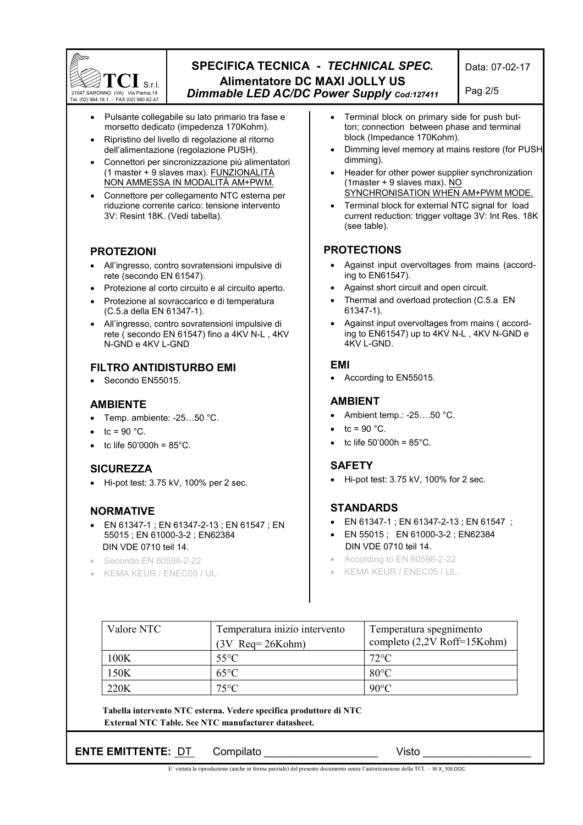

## **SPECIFICA TECNICA -** *TECHNICAL SPEC.* **Alimentatore DC MAXI JOLLY US**  *Dimmable LED AC/DC Power Supply Cod:127411*

Pag 2/5

- Pulsante collegabile su lato primario tra fase e morsetto dedicato (impedenza 170Kohm).
- Ripristino del livello di regolazione al ritorno dell'alimentazione (regolazione PUSH).
- Connettori per sincronizzazione più alimentatori (1 master + 9 slaves max). FUNZIONALITÀ NON AMMESSA IN MODALITÀ AM+PWM.
- Connettore per collegamento NTC esterna per riduzione corrente carico: tensione intervento 3V: Resint 18K. (Vedi tabella).

## **PROTEZIONI**

- All'ingresso, contro sovratensioni impulsive di rete (secondo EN 61547).
- Protezione al corto circuito e al circuito aperto.
- Protezione al sovraccarico e di temperatura (C.5.a della EN 61347-1).
- All'ingresso, contro sovratensioni impulsive di rete ( secondo EN 61547) fino a 4KV N-L , 4KV N-GND e 4KV L-GND

## **FILTRO ANTIDISTURBO EMI**

Secondo EN55015.

## **AMBIENTE**

- Temp. ambiente:  $-25...50$  °C.
- tc =  $90 °C$ .
- tc life  $50'000h = 85^{\circ}$ C.

## **SICUREZZA**

• Hi-pot test: 3.75 kV, 100% per 2 sec.

## **NORMATIVE**

- EN 61347-1 ; EN 61347-2-13 ; EN 61547 ; EN 55015 ; EN 61000-3-2 ; EN62384 DIN VDE 0710 teil 14.
- Secondo EN 60598-2-22
- KEMA KEUR / ENEC05 / UL.
- Terminal block on primary side for push button; connection between phase and terminal block (Impedance 170Kohm).
- Dimming level memory at mains restore (for PUSH dimming).
- Header for other power supplier synchronization (1master + 9 slaves max).  $\overline{NO}$ SYNCHRONISATION WHEN AM+PWM MODE.
- Terminal block for external NTC signal for load current reduction: trigger voltage 3V: Int Res. 18K (see table).

## **PROTECTIONS**

- Against input overvoltages from mains (according to EN61547).
- Against short circuit and open circuit.
- Thermal and overload protection (C.5.a EN 61347-1).
- Against input overvoltages from mains ( according to EN61547) up to 4KV N-L , 4KV N-GND e 4KV L-GND.

#### **EMI**

• According to EN55015.

## **AMBIENT**

- Ambient temp.: -25....50 °C.
- $tc = 90 °C$ .
- tc life  $50'000h = 85°C$ .

#### **SAFETY**

• Hi-pot test: 3.75 kV, 100% for 2 sec.

## **STANDARDS**

- EN 61347-1 ; EN 61347-2-13 ; EN 61547 ;
- EN 55015 ; EN 61000-3-2 ; EN62384 DIN VDE 0710 teil 14.
- According to EN 60598-2-22
- KEMA KEUR / ENEC05 / UL.

| Valore NTC | Temperatura inizio intervento<br>$(3V$ Req= 26Kohm) | Temperatura spegnimento<br>completo (2,2V Roff=15Kohm) |
|------------|-----------------------------------------------------|--------------------------------------------------------|
| 100K       | $55^{\circ}$ C                                      | $72$ °C                                                |
| 150K       | $65^{\circ}$ C                                      | $80^{\circ}$ C                                         |
| 220K       | $75^{\circ}$ C                                      | $90^{\circ}$ C                                         |

 **Tabella intervento NTC esterna. Vedere specifica produttore di NTC External NTC Table. See NTC manufacturer datasheet.**

**ENTE EMITTENTE:** DT Compilato **COMPILATENTE:**  $\overline{C}$  Visto  $\overline{C}$ 

E' vietata la riproduzione (anche in forma parziale) del presente documento senza l'autorizzazione della TCI. - W.X\_105.DOC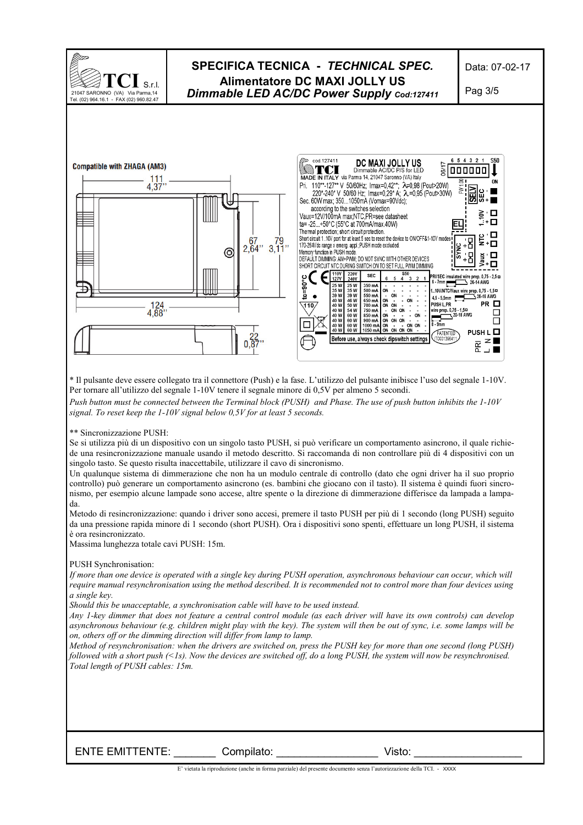

\* Il pulsante deve essere collegato tra il connettore (Push) e la fase. L'utilizzo del pulsante inibisce l'uso del segnale 1-10V. Per tornare all'utilizzo del segnale 1-10V tenere il segnale minore di 0,5V per almeno 5 secondi.

*Push button must be connected between the Terminal block (PUSH) and Phase. The use of push button inhibits the 1-10V signal. To reset keep the 1-10V signal below 0,5V for at least 5 seconds.* 

\*\* Sincronizzazione PUSH:

Se si utilizza più di un dispositivo con un singolo tasto PUSH, si può verificare un comportamento asincrono, il quale richiede una resincronizzazione manuale usando il metodo descritto. Si raccomanda di non controllare più di 4 dispositivi con un singolo tasto. Se questo risulta inaccettabile, utilizzare il cavo di sincronismo.

Un qualunque sistema di dimmerazione che non ha un modulo centrale di controllo (dato che ogni driver ha il suo proprio controllo) può generare un comportamento asincrono (es. bambini che giocano con il tasto). Il sistema è quindi fuori sincronismo, per esempio alcune lampade sono accese, altre spente o la direzione di dimmerazione differisce da lampada a lampada.

Metodo di resincronizzazione: quando i driver sono accesi, premere il tasto PUSH per più di 1 secondo (long PUSH) seguito da una pressione rapida minore di 1 secondo (short PUSH). Ora i dispositivi sono spenti, effettuare un long PUSH, il sistema è ora resincronizzato.

Massima lunghezza totale cavi PUSH: 15m.

#### PUSH Synchronisation:

*If more than one device is operated with a single key during PUSH operation, asynchronous behaviour can occur, which will require manual resynchronisation using the method described. It is recommended not to control more than four devices using a single key.* 

*Should this be unacceptable, a synchronisation cable will have to be used instead.* 

*Any 1-key dimmer that does not feature a central control module (as each driver will have its own controls) can develop asynchronous behaviour (e.g. children might play with the key). The system will then be out of sync, i.e. some lamps will be on, others off or the dimming direction will differ from lamp to lamp.* 

*Method of resynchronisation: when the drivers are switched on, press the PUSH key for more than one second (long PUSH) followed with a short push (<1s). Now the devices are switched off, do a long PUSH, the system will now be resynchronised. Total length of PUSH cables: 15m.* 

ENTE EMITTENTE: \_\_\_\_\_\_\_ Compilato: \_\_\_\_\_\_\_\_\_\_\_\_\_\_\_\_\_ Visto: \_\_\_\_\_\_\_\_\_\_\_\_\_\_\_\_\_\_

E' vietata la riproduzione (anche in forma parziale) del presente documento senza l'autorizzazione della TCI. - XXXX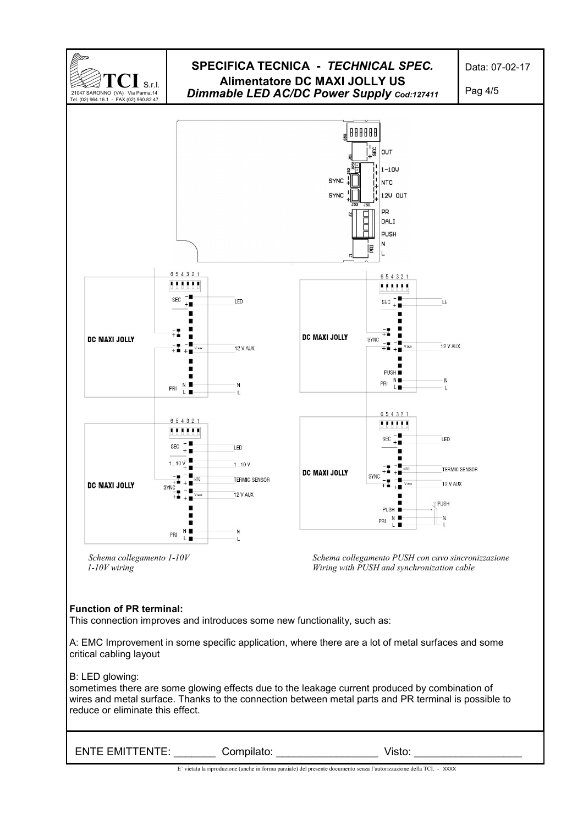

E' vietata la riproduzione (anche in forma parziale) del presente documento senza l'autorizzazione della TCI. - XXXX